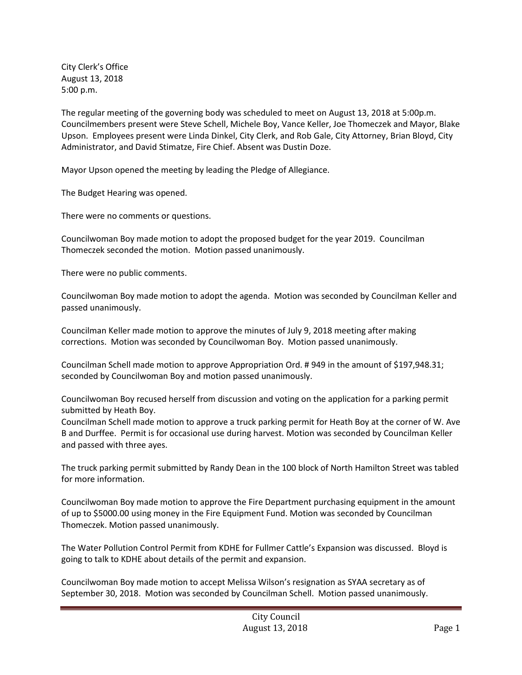City Clerk's Office August 13, 2018 5:00 p.m.

The regular meeting of the governing body was scheduled to meet on August 13, 2018 at 5:00p.m. Councilmembers present were Steve Schell, Michele Boy, Vance Keller, Joe Thomeczek and Mayor, Blake Upson. Employees present were Linda Dinkel, City Clerk, and Rob Gale, City Attorney, Brian Bloyd, City Administrator, and David Stimatze, Fire Chief. Absent was Dustin Doze.

Mayor Upson opened the meeting by leading the Pledge of Allegiance.

The Budget Hearing was opened.

There were no comments or questions.

Councilwoman Boy made motion to adopt the proposed budget for the year 2019. Councilman Thomeczek seconded the motion. Motion passed unanimously.

There were no public comments.

Councilwoman Boy made motion to adopt the agenda. Motion was seconded by Councilman Keller and passed unanimously.

Councilman Keller made motion to approve the minutes of July 9, 2018 meeting after making corrections. Motion was seconded by Councilwoman Boy. Motion passed unanimously.

Councilman Schell made motion to approve Appropriation Ord. # 949 in the amount of \$197,948.31; seconded by Councilwoman Boy and motion passed unanimously.

Councilwoman Boy recused herself from discussion and voting on the application for a parking permit submitted by Heath Boy.

Councilman Schell made motion to approve a truck parking permit for Heath Boy at the corner of W. Ave B and Durffee. Permit is for occasional use during harvest. Motion was seconded by Councilman Keller and passed with three ayes.

The truck parking permit submitted by Randy Dean in the 100 block of North Hamilton Street was tabled for more information.

Councilwoman Boy made motion to approve the Fire Department purchasing equipment in the amount of up to \$5000.00 using money in the Fire Equipment Fund. Motion was seconded by Councilman Thomeczek. Motion passed unanimously.

The Water Pollution Control Permit from KDHE for Fullmer Cattle's Expansion was discussed. Bloyd is going to talk to KDHE about details of the permit and expansion.

Councilwoman Boy made motion to accept Melissa Wilson's resignation as SYAA secretary as of September 30, 2018. Motion was seconded by Councilman Schell. Motion passed unanimously.